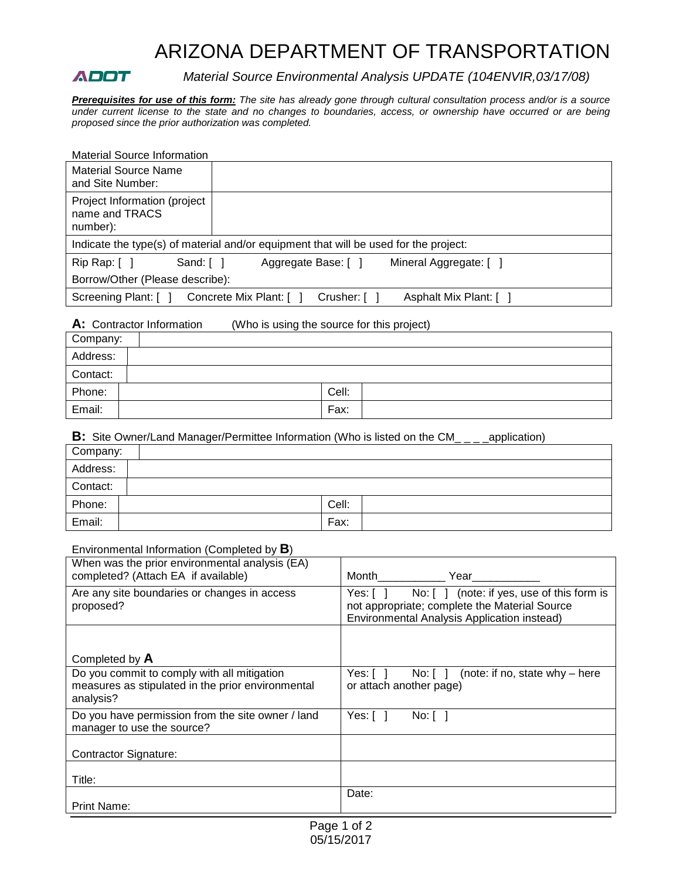# ARIZONA DEPARTMENT OF TRANSPORTATION

**ADOT** Material Source Environmental Analysis UPDATE (104ENVIR,03/17/08)

*Prerequisites for use of this form: The site has already gone through cultural consultation process and/or is a source under current license to the state and no changes to boundaries, access, or ownership have occurred or are being proposed since the prior authorization was completed.*

| <b>Material Source Information</b>                         |                                                                                      |
|------------------------------------------------------------|--------------------------------------------------------------------------------------|
| <b>Material Source Name</b><br>and Site Number:            |                                                                                      |
| Project Information (project<br>name and TRACS<br>number): |                                                                                      |
|                                                            | Indicate the type(s) of material and/or equipment that will be used for the project: |
| Rip Rap: [<br>Sand: [ ]                                    | Aggregate Base: [ ]<br>Mineral Aggregate: []                                         |
| Borrow/Other (Please describe):                            |                                                                                      |
| Screening Plant: [ ]                                       | Crusher: [ ]<br>Asphalt Mix Plant: [ ]<br>Concrete Mix Plant: [ ]                    |

# **A:** Contractor Information (Who is using the source for this project)

| Company: |       |
|----------|-------|
| Address: |       |
| Contact: |       |
| Phone:   | Cell: |
| Email:   | Fax:  |

### **B:** Site Owner/Land Manager/Permittee Information (Who is listed on the CM<sub>\_\_\_</sub>\_application)

| Company: |       |
|----------|-------|
| Address: |       |
| Contact: |       |
| Phone:   | Cell: |
| Email:   | Fax:  |

## Environmental Information (Completed by **B**)

| When was the prior environmental analysis (EA)<br>completed? (Attach EA if available)                         | Month<br>Year                                                                                                                                       |  |
|---------------------------------------------------------------------------------------------------------------|-----------------------------------------------------------------------------------------------------------------------------------------------------|--|
| Are any site boundaries or changes in access<br>proposed?                                                     | No: [] (note: if yes, use of this form is<br>Yes:[]<br>not appropriate; complete the Material Source<br>Environmental Analysis Application instead) |  |
| Completed by A                                                                                                |                                                                                                                                                     |  |
| Do you commit to comply with all mitigation<br>measures as stipulated in the prior environmental<br>analysis? | (note: if no, state why $-$ here<br>Yes: $\lceil \; \rceil$<br>No: 1<br>or attach another page)                                                     |  |
| Do you have permission from the site owner / land<br>manager to use the source?                               | Yes:[]<br>No: 1                                                                                                                                     |  |
| Contractor Signature:                                                                                         |                                                                                                                                                     |  |
| Title:                                                                                                        |                                                                                                                                                     |  |
| <b>Print Name:</b>                                                                                            | Date:                                                                                                                                               |  |